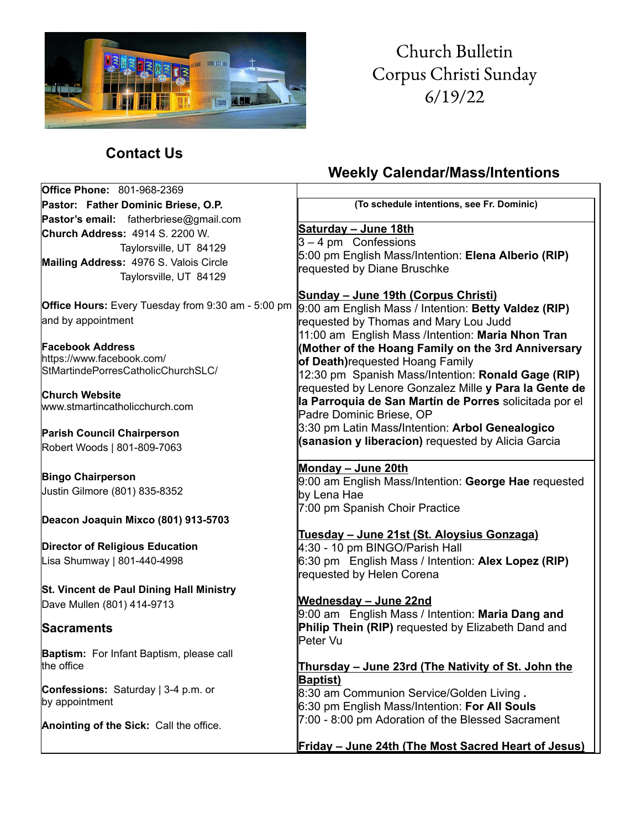

# Church Bulletin Corpus Christi Sunday  $6/19/22$

### **Contact Us**

## **Weekly Calendar/Mass/Intentions**

| <b>Office Phone: 801-968-2369</b>                               |                                                                                    |
|-----------------------------------------------------------------|------------------------------------------------------------------------------------|
| Pastor: Father Dominic Briese, O.P.                             | (To schedule intentions, see Fr. Dominic)                                          |
| Pastor's email: fatherbriese@gmail.com                          |                                                                                    |
| <b>Church Address: 4914 S. 2200 W.</b>                          | Saturday - June 18th                                                               |
| Taylorsville, UT 84129                                          | $3 - 4$ pm Confessions<br>5:00 pm English Mass/Intention: Elena Alberio (RIP)      |
| Mailing Address: 4976 S. Valois Circle                          | requested by Diane Bruschke                                                        |
| Taylorsville, UT 84129                                          |                                                                                    |
|                                                                 | Sunday - June 19th (Corpus Christi)                                                |
| Office Hours: Every Tuesday from 9:30 am - 5:00 pm              | 9:00 am English Mass / Intention: Betty Valdez (RIP)                               |
| and by appointment                                              | requested by Thomas and Mary Lou Judd                                              |
|                                                                 | 11:00 am English Mass /Intention: Maria Nhon Tran                                  |
| <b>Facebook Address</b>                                         | (Mother of the Hoang Family on the 3rd Anniversary                                 |
| https://www.facebook.com/<br>StMartindePorresCatholicChurchSLC/ | of Death) requested Hoang Family                                                   |
|                                                                 | 12:30 pm Spanish Mass/Intention: Ronald Gage (RIP)                                 |
| Church Website                                                  | requested by Lenore Gonzalez Mille y Para la Gente de                              |
| www.stmartincatholicchurch.com                                  | la Parroquia de San Martín de Porres solicitada por el<br>Padre Dominic Briese, OP |
|                                                                 | 3:30 pm Latin Mass/Intention: Arbol Genealogico                                    |
| <b>Parish Council Chairperson</b>                               | (sanasion y liberacion) requested by Alicia Garcia                                 |
| Robert Woods   801-809-7063                                     |                                                                                    |
|                                                                 | Monday - June 20th                                                                 |
| <b>Bingo Chairperson</b>                                        | 9:00 am English Mass/Intention: George Hae requested                               |
| Justin Gilmore (801) 835-8352                                   | by Lena Hae                                                                        |
|                                                                 | 7:00 pm Spanish Choir Practice                                                     |
| Deacon Joaquin Mixco (801) 913-5703                             |                                                                                    |
| <b>Director of Religious Education</b>                          | Tuesday - June 21st (St. Aloysius Gonzaga)<br>4:30 - 10 pm BINGO/Parish Hall       |
| Lisa Shumway   801-440-4998                                     | 6:30 pm English Mass / Intention: Alex Lopez (RIP)                                 |
|                                                                 | requested by Helen Corena                                                          |
| St. Vincent de Paul Dining Hall Ministry                        |                                                                                    |
| Dave Mullen (801) 414-9713                                      | Wednesday - June 22nd                                                              |
|                                                                 | 9:00 am English Mass / Intention: Maria Dang and                                   |
| Sacraments                                                      | Philip Thein (RIP) requested by Elizabeth Dand and                                 |
|                                                                 | Peter Vu                                                                           |
| Baptism: For Infant Baptism, please call                        |                                                                                    |
| the office                                                      | Thursday - June 23rd (The Nativity of St. John the                                 |
| Confessions: Saturday   3-4 p.m. or                             | <b>Baptist)</b><br>8:30 am Communion Service/Golden Living.                        |
| by appointment                                                  | 6:30 pm English Mass/Intention: For All Souls                                      |
|                                                                 | 7:00 - 8:00 pm Adoration of the Blessed Sacrament                                  |
| Anointing of the Sick: Call the office.                         |                                                                                    |
|                                                                 | Friday - June 24th (The Most Sacred Heart of Jesus)                                |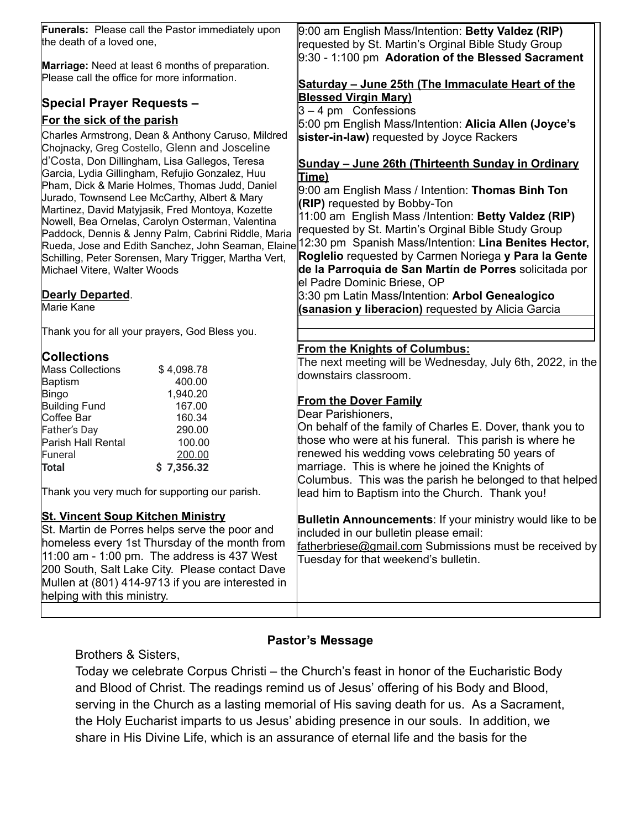| Funerals: Please call the Pastor immediately upon<br>the death of a loved one,                                                                                                                                                                                                                                                     | 9:00 am English Mass/Intention: Betty Valdez (RIP)<br>requested by St. Martin's Orginal Bible Study Group                                                                                                    |
|------------------------------------------------------------------------------------------------------------------------------------------------------------------------------------------------------------------------------------------------------------------------------------------------------------------------------------|--------------------------------------------------------------------------------------------------------------------------------------------------------------------------------------------------------------|
| Marriage: Need at least 6 months of preparation.<br>Please call the office for more information.                                                                                                                                                                                                                                   | 9:30 - 1:100 pm Adoration of the Blessed Sacrament                                                                                                                                                           |
|                                                                                                                                                                                                                                                                                                                                    | Saturday - June 25th (The Immaculate Heart of the                                                                                                                                                            |
| <b>Special Prayer Requests -</b>                                                                                                                                                                                                                                                                                                   | <b>Blessed Virgin Mary)</b><br>$3 - 4$ pm Confessions                                                                                                                                                        |
| For the sick of the parish                                                                                                                                                                                                                                                                                                         | 5:00 pm English Mass/Intention: Alicia Allen (Joyce's                                                                                                                                                        |
| Charles Armstrong, Dean & Anthony Caruso, Mildred<br>Chojnacky, Greg Costello, Glenn and Josceline                                                                                                                                                                                                                                 | sister-in-law) requested by Joyce Rackers                                                                                                                                                                    |
| d'Costa, Don Dillingham, Lisa Gallegos, Teresa                                                                                                                                                                                                                                                                                     | Sunday - June 26th (Thirteenth Sunday in Ordinary                                                                                                                                                            |
| Garcia, Lydia Gillingham, Refujio Gonzalez, Huu                                                                                                                                                                                                                                                                                    | Time)                                                                                                                                                                                                        |
| Pham, Dick & Marie Holmes, Thomas Judd, Daniel                                                                                                                                                                                                                                                                                     | 9:00 am English Mass / Intention: Thomas Binh Ton                                                                                                                                                            |
| Jurado, Townsend Lee McCarthy, Albert & Mary<br>Martinez, David Matyjasik, Fred Montoya, Kozette                                                                                                                                                                                                                                   | (RIP) requested by Bobby-Ton                                                                                                                                                                                 |
| Nowell, Bea Ornelas, Carolyn Osterman, Valentina                                                                                                                                                                                                                                                                                   | 11:00 am English Mass /Intention: Betty Valdez (RIP)                                                                                                                                                         |
| Paddock, Dennis & Jenny Palm, Cabrini Riddle, Maria                                                                                                                                                                                                                                                                                | requested by St. Martin's Orginal Bible Study Group                                                                                                                                                          |
| Rueda, Jose and Edith Sanchez, John Seaman, Elaine                                                                                                                                                                                                                                                                                 | 12:30 pm Spanish Mass/Intention: Lina Benites Hector,                                                                                                                                                        |
| Schilling, Peter Sorensen, Mary Trigger, Martha Vert,                                                                                                                                                                                                                                                                              | Roglelio requested by Carmen Noriega y Para la Gente                                                                                                                                                         |
| Michael Vitere, Walter Woods                                                                                                                                                                                                                                                                                                       | de la Parroquia de San Martín de Porres solicitada por                                                                                                                                                       |
|                                                                                                                                                                                                                                                                                                                                    | el Padre Dominic Briese, OP                                                                                                                                                                                  |
| <b>Dearly Departed.</b>                                                                                                                                                                                                                                                                                                            | 3:30 pm Latin Mass/Intention: Arbol Genealogico                                                                                                                                                              |
| <b>Marie Kane</b>                                                                                                                                                                                                                                                                                                                  | (sanasion y liberacion) requested by Alicia Garcia                                                                                                                                                           |
| Thank you for all your prayers, God Bless you.                                                                                                                                                                                                                                                                                     |                                                                                                                                                                                                              |
| <b>Collections</b>                                                                                                                                                                                                                                                                                                                 | <b>From the Knights of Columbus:</b>                                                                                                                                                                         |
| <b>Mass Collections</b><br>\$4,098.78                                                                                                                                                                                                                                                                                              | The next meeting will be Wednesday, July 6th, 2022, in the                                                                                                                                                   |
| Baptism<br>400.00                                                                                                                                                                                                                                                                                                                  | downstairs classroom.                                                                                                                                                                                        |
| <b>Bingo</b><br>1,940.20                                                                                                                                                                                                                                                                                                           |                                                                                                                                                                                                              |
| <b>Building Fund</b><br>167.00                                                                                                                                                                                                                                                                                                     | <b>From the Dover Family</b>                                                                                                                                                                                 |
| Coffee Bar<br>160.34                                                                                                                                                                                                                                                                                                               | Dear Parishioners,                                                                                                                                                                                           |
| Father's Day<br>290.00                                                                                                                                                                                                                                                                                                             | On behalf of the family of Charles E. Dover, thank you to<br>those who were at his funeral. This parish is where he                                                                                          |
| Parish Hall Rental<br>100.00<br>Funeral                                                                                                                                                                                                                                                                                            | renewed his wedding vows celebrating 50 years of                                                                                                                                                             |
| 200.00<br><b>Total</b><br>\$7,356.32                                                                                                                                                                                                                                                                                               | marriage. This is where he joined the Knights of                                                                                                                                                             |
|                                                                                                                                                                                                                                                                                                                                    | Columbus. This was the parish he belonged to that helped                                                                                                                                                     |
| Thank you very much for supporting our parish.                                                                                                                                                                                                                                                                                     | lead him to Baptism into the Church. Thank you!                                                                                                                                                              |
| <b>St. Vincent Soup Kitchen Ministry</b><br>St. Martin de Porres helps serve the poor and<br>homeless every 1st Thursday of the month from<br>$ 11:00$ am - 1:00 pm. The address is 437 West<br>200 South, Salt Lake City. Please contact Dave<br>Mullen at (801) 414-9713 if you are interested in<br>helping with this ministry. | <b>Bulletin Announcements: If your ministry would like to be</b><br>included in our bulletin please email:<br>fatherbriese@gmail.com Submissions must be received by<br>Tuesday for that weekend's bulletin. |
|                                                                                                                                                                                                                                                                                                                                    |                                                                                                                                                                                                              |

#### **Pastor's Message**

Brothers & Sisters,

Today we celebrate Corpus Christi – the Church's feast in honor of the Eucharistic Body and Blood of Christ. The readings remind us of Jesus' offering of his Body and Blood, serving in the Church as a lasting memorial of His saving death for us. As a Sacrament, the Holy Eucharist imparts to us Jesus' abiding presence in our souls. In addition, we share in His Divine Life, which is an assurance of eternal life and the basis for the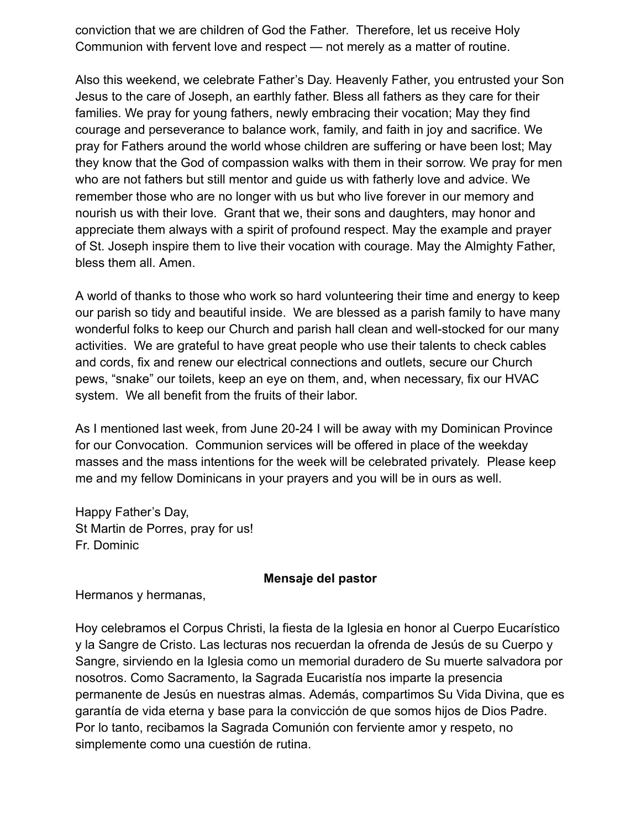conviction that we are children of God the Father. Therefore, let us receive Holy Communion with fervent love and respect — not merely as a matter of routine.

Also this weekend, we celebrate Father's Day. Heavenly Father, you entrusted your Son Jesus to the care of Joseph, an earthly father. Bless all fathers as they care for their families. We pray for young fathers, newly embracing their vocation; May they find courage and perseverance to balance work, family, and faith in joy and sacrifice. We pray for Fathers around the world whose children are suffering or have been lost; May they know that the God of compassion walks with them in their sorrow. We pray for men who are not fathers but still mentor and guide us with fatherly love and advice. We remember those who are no longer with us but who live forever in our memory and nourish us with their love. Grant that we, their sons and daughters, may honor and appreciate them always with a spirit of profound respect. May the example and prayer of St. Joseph inspire them to live their vocation with courage. May the Almighty Father, bless them all. Amen.

A world of thanks to those who work so hard volunteering their time and energy to keep our parish so tidy and beautiful inside. We are blessed as a parish family to have many wonderful folks to keep our Church and parish hall clean and well-stocked for our many activities. We are grateful to have great people who use their talents to check cables and cords, fix and renew our electrical connections and outlets, secure our Church pews, "snake" our toilets, keep an eye on them, and, when necessary, fix our HVAC system. We all benefit from the fruits of their labor.

As I mentioned last week, from June 20-24 I will be away with my Dominican Province for our Convocation. Communion services will be offered in place of the weekday masses and the mass intentions for the week will be celebrated privately. Please keep me and my fellow Dominicans in your prayers and you will be in ours as well.

Happy Father's Day, St Martin de Porres, pray for us! Fr. Dominic

#### **Mensaje del pastor**

Hermanos y hermanas,

Hoy celebramos el Corpus Christi, la fiesta de la Iglesia en honor al Cuerpo Eucarístico y la Sangre de Cristo. Las lecturas nos recuerdan la ofrenda de Jesús de su Cuerpo y Sangre, sirviendo en la Iglesia como un memorial duradero de Su muerte salvadora por nosotros. Como Sacramento, la Sagrada Eucaristía nos imparte la presencia permanente de Jesús en nuestras almas. Además, compartimos Su Vida Divina, que es garantía de vida eterna y base para la convicción de que somos hijos de Dios Padre. Por lo tanto, recibamos la Sagrada Comunión con ferviente amor y respeto, no simplemente como una cuestión de rutina.